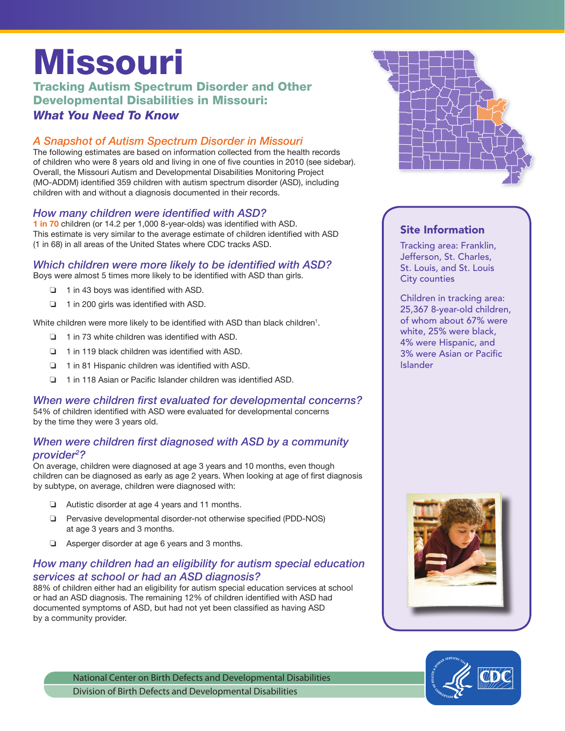# Missouri

## Tracking Autism Spectrum Disorder and Other Developmental Disabilities in Missouri: *What You Need To Know*

# *A Snapshot of Autism Spectrum Disorder in Missouri*

The following estimates are based on information collected from the health records of children who were 8 years old and living in one of five counties in 2010 (see sidebar). Overall, the Missouri Autism and Developmental Disabilities Monitoring Project (MO-ADDM) identified 359 children with autism spectrum disorder (ASD), including children with and without a diagnosis documented in their records.

## *How many children were identified with ASD?*

1 in 70 children (or 14.2 per 1,000 8-year-olds) was identified with ASD. This estimate is very similar to the average estimate of children identified with ASD (1 in 68) in all areas of the United States where CDC tracks ASD.

## *Which children were more likely to be identified with ASD?*

Boys were almost 5 times more likely to be identified with ASD than girls.

- ❏ 1 in 43 boys was identified with ASD.
- ❏ 1 in 200 girls was identified with ASD.

White children were more likely to be identified with ASD than black children<sup>1</sup>.

- ❏ 1 in 73 white children was identified with ASD.
- ❏ 1 in 119 black children was identified with ASD.
- ❏ 1 in 81 Hispanic children was identified with ASD.
- ❏ 1 in 118 Asian or Pacific Islander children was identified ASD.

#### *When were children first evaluated for developmental concerns?*

54% of children identified with ASD were evaluated for developmental concerns by the time they were 3 years old.

#### *When were children first diagnosed with ASD by a community provider2 ?*

On average, children were diagnosed at age 3 years and 10 months, even though children can be diagnosed as early as age 2 years. When looking at age of first diagnosis by subtype, on average, children were diagnosed with:

- ❏ Autistic disorder at age 4 years and 11 months.
- ❏ Pervasive developmental disorder-not otherwise specified (PDD-NOS) at age 3 years and 3 months.
- ❏ Asperger disorder at age 6 years and 3 months.

#### *How many children had an eligibility for autism special education services at school or had an ASD diagnosis?*

88% of children either had an eligibility for autism special education services at school or had an ASD diagnosis. The remaining 12% of children identified with ASD had documented symptoms of ASD, but had not yet been classified as having ASD by a community provider.



#### Site Information

Tracking area: Franklin, Jefferson, St. Charles, St. Louis, and St. Louis City counties

Children in tracking area: 25,367 8-year-old children, of whom about 67% were white, 25% were black, 4% were Hispanic, and 3% were Asian or Pacific Islander





National Center on Birth Defects and Developmental Disabilities Division of Birth Defects and Developmental Disabilities